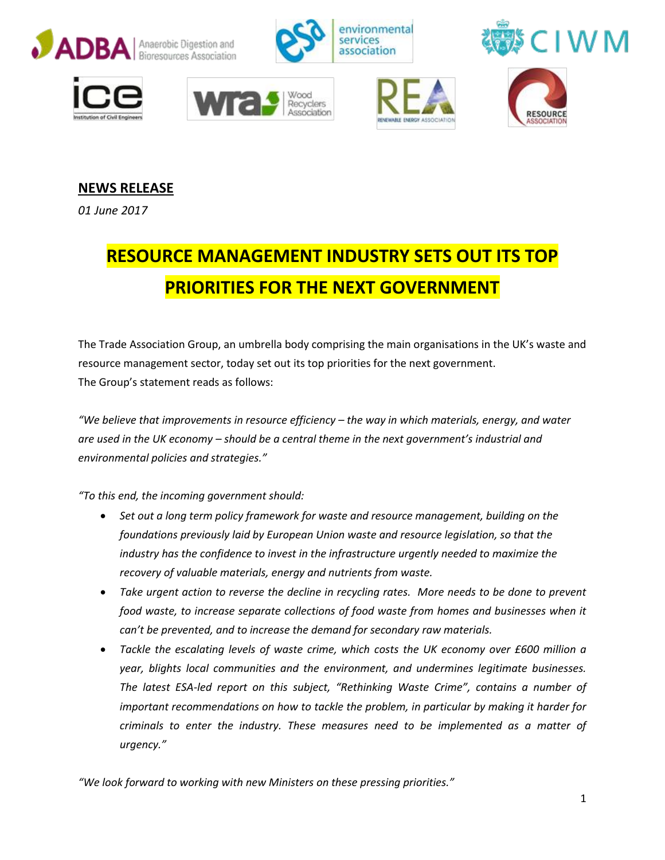













## **NEWS RELEASE**

*01 June 2017*

## **RESOURCE MANAGEMENT INDUSTRY SETS OUT ITS TOP PRIORITIES FOR THE NEXT GOVERNMENT**

The Trade Association Group, an umbrella body comprising the main organisations in the UK's waste and resource management sector, today set out its top priorities for the next government. The Group's statement reads as follows:

*"We believe that improvements in resource efficiency – the way in which materials, energy, and water are used in the UK economy – should be a central theme in the next government's industrial and environmental policies and strategies."*

*"To this end, the incoming government should:*

- *Set out a long term policy framework for waste and resource management, building on the foundations previously laid by European Union waste and resource legislation, so that the industry has the confidence to invest in the infrastructure urgently needed to maximize the recovery of valuable materials, energy and nutrients from waste.*
- *Take urgent action to reverse the decline in recycling rates. More needs to be done to prevent food waste, to increase separate collections of food waste from homes and businesses when it can't be prevented, and to increase the demand for secondary raw materials.*
- *Tackle the escalating levels of waste crime, which costs the UK economy over £600 million a year, blights local communities and the environment, and undermines legitimate businesses. The latest ESA-led report on this subject, "Rethinking Waste Crime", contains a number of important recommendations on how to tackle the problem, in particular by making it harder for criminals to enter the industry. These measures need to be implemented as a matter of urgency."*

*"We look forward to working with new Ministers on these pressing priorities."*